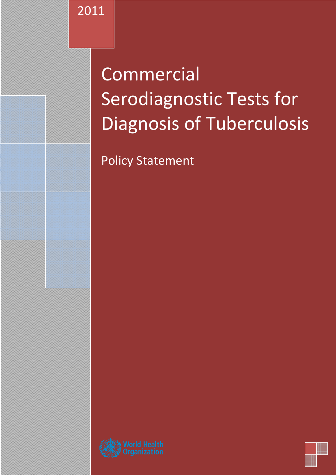2011

# Commercial Serodiagnostic Tests for Diagnosis of Tuberculosis

Policy Statement



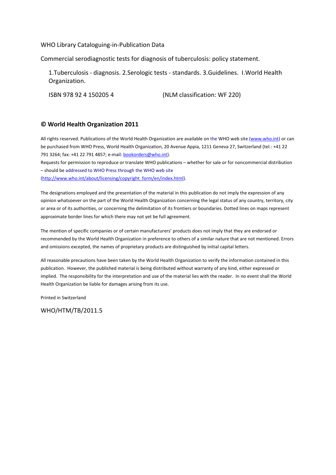## WHO Library Cataloguing-in-Publication Data

Commercial serodiagnostic tests for diagnosis of tuberculosis: policy statement.

1.Tuberculosis - diagnosis. 2.Serologic tests - standards. 3.Guidelines. I.World Health Organization.

ISBN 978 92 4 150205 4 (NLM classification: WF 220)

## © World Health Organization 2011

All rights reserved. Publications of the World Health Organization are available on the WHO web site (www.who.int) or can be purchased from WHO Press, World Health Organization, 20 Avenue Appia, 1211 Geneva 27, Switzerland (tel.: +41 22 791 3264; fax: +41 22 791 4857; e-mail: **bookorders@who.int**).

Requests for permission to reproduce or translate WHO publications – whether for sale or for noncommercial distribution – should be addressed to WHO Press through the WHO web site

(http://www.who.int/about/licensing/copyright\_form/en/index.html).

The designations employed and the presentation of the material in this publication do not imply the expression of any opinion whatsoever on the part of the World Health Organization concerning the legal status of any country, territory, city or area or of its authorities, or concerning the delimitation of its frontiers or boundaries. Dotted lines on maps represent approximate border lines for which there may not yet be full agreement.

The mention of specific companies or of certain manufacturers' products does not imply that they are endorsed or recommended by the World Health Organization in preference to others of a similar nature that are not mentioned. Errors and omissions excepted, the names of proprietary products are distinguished by initial capital letters.

All reasonable precautions have been taken by the World Health Organization to verify the information contained in this publication. However, the published material is being distributed without warranty of any kind, either expressed or implied. The responsibility for the interpretation and use of the material lies with the reader. In no event shall the World Health Organization be liable for damages arising from its use.

Printed in Switzerland

WHO/HTM/TB/2011.5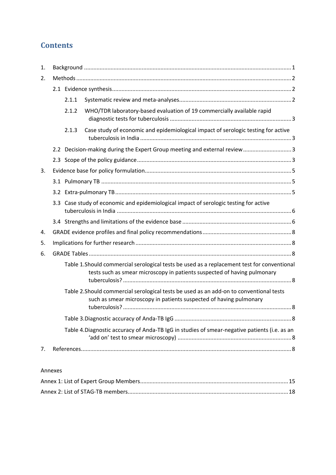# **Contents**

| 1. |     |       |                                                                                                                                                                         |  |  |  |  |  |  |  |  |
|----|-----|-------|-------------------------------------------------------------------------------------------------------------------------------------------------------------------------|--|--|--|--|--|--|--|--|
| 2. |     |       |                                                                                                                                                                         |  |  |  |  |  |  |  |  |
|    |     |       |                                                                                                                                                                         |  |  |  |  |  |  |  |  |
|    |     | 2.1.1 |                                                                                                                                                                         |  |  |  |  |  |  |  |  |
|    |     | 2.1.2 | WHO/TDR laboratory-based evaluation of 19 commercially available rapid                                                                                                  |  |  |  |  |  |  |  |  |
|    |     | 2.1.3 | Case study of economic and epidemiological impact of serologic testing for active                                                                                       |  |  |  |  |  |  |  |  |
|    |     |       | 2.2 Decision-making during the Expert Group meeting and external review 3                                                                                               |  |  |  |  |  |  |  |  |
|    |     |       |                                                                                                                                                                         |  |  |  |  |  |  |  |  |
| 3. |     |       |                                                                                                                                                                         |  |  |  |  |  |  |  |  |
|    |     |       |                                                                                                                                                                         |  |  |  |  |  |  |  |  |
|    | 3.2 |       |                                                                                                                                                                         |  |  |  |  |  |  |  |  |
|    | 3.3 |       | Case study of economic and epidemiological impact of serologic testing for active                                                                                       |  |  |  |  |  |  |  |  |
|    |     |       |                                                                                                                                                                         |  |  |  |  |  |  |  |  |
| 4. |     |       |                                                                                                                                                                         |  |  |  |  |  |  |  |  |
| 5. |     |       |                                                                                                                                                                         |  |  |  |  |  |  |  |  |
| 6. |     |       |                                                                                                                                                                         |  |  |  |  |  |  |  |  |
|    |     |       | Table 1. Should commercial serological tests be used as a replacement test for conventional<br>tests such as smear microscopy in patients suspected of having pulmonary |  |  |  |  |  |  |  |  |
|    |     |       | Table 2.Should commercial serological tests be used as an add-on to conventional tests<br>such as smear microscopy in patients suspected of having pulmonary            |  |  |  |  |  |  |  |  |
|    |     |       |                                                                                                                                                                         |  |  |  |  |  |  |  |  |
|    |     |       | Table 4. Diagnostic accuracy of Anda-TB IgG in studies of smear-negative patients (i.e. as an                                                                           |  |  |  |  |  |  |  |  |
| 7. |     |       |                                                                                                                                                                         |  |  |  |  |  |  |  |  |

# Annexes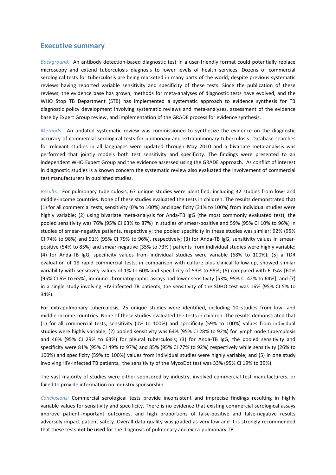# Executive summary

Background: An antibody detection-based diagnostic test in a user-friendly format could potentially replace microscopy and extend tuberculosis diagnosis to lower levels of health services. Dozens of commercial serological tests for tuberculosis are being marketed in many parts of the world, despite previous systematic reviews having reported variable sensitivity and specificity of these tests. Since the publication of these reviews, the evidence base has grown, methods for meta-analyses of diagnostic tests have evolved, and the WHO Stop TB Department (STB) has implemented a systematic approach to evidence synthesis for TB diagnostic policy development involving systematic reviews and meta-analyses, assessment of the evidence base by Expert Group review, and implementation of the GRADE process for evidence synthesis.

Methods: An updated systematic review was commissioned to synthesize the evidence on the diagnostic accuracy of commercial serological tests for pulmonary and extrapulmonary tuberculosis. Database searches for relevant studies in all languages were updated through May 2010 and a bivariate meta-analysis was performed that jointly models both test sensitivity and specificity. The findings were presented to an independent WHO Expert Group and the evidence assessed using the GRADE approach. As conflict of interest in diagnostic studies is a known concern the systematic review also evaluated the involvement of commercial test manufacturers in published studies.

Results: For pulmonary tuberculosis, 67 unique studies were identified, including 32 studies from low- and middle-income countries. None of these studies evaluated the tests in children. The results demonstrated that (1) for all commercial tests, sensitivity (0% to 100%) and specificity (31% to 100%) from individual studies were highly variable; (2) using bivariate meta-analysis for Anda-TB IgG (the most commonly evaluated test), the pooled sensitivity was 76% (95% CI 63% to 87%) in studies of smear-positive and 59% (95% CI 10% to 96%) in studies of smear-negative patients, respectively; the pooled specificity in these studies was similar: 92% (95% CI 74% to 98%) and 91% (95% CI 79% to 96%), respectively; (3) for Anda-TB IgG, sensitivity values in smearpositive (54% to 85%) and smear-negative (35% to 73% ) patients from individual studies were highly variable; (4) for Anda-TB IgG, specificity values from individual studies were variable (68% to 100%); (5) a TDR evaluation of 19 rapid commercial tests, in comparison with culture plus clinical follow-up, showed similar variability with sensitivity values of 1% to 60% and specificity of 53% to 99%; (6) compared with ELISAs [60% (95% CI 6% to 65%], immuno-chromatographic assays had lower sensitivity [53%, 95% CI 42% to 64%]; and (7) in a single study involving HIV-infected TB patients, the sensitivity of the SDHO test was 16% (95% CI 5% to 34%).

For extrapulmonary tuberculosis, 25 unique studies were identified, including 10 studies from low- and middle-income countries. None of these studies evaluated the tests in children. The results demonstrated that (1) for all commercial tests, sensitivity (0% to 100%) and specificity (59% to 100%) values from individual studies were highly variable; (2) pooled sensitivity was 64% (95% CI 28% to 92%) for lymph node tuberculosis and 46% (95% CI 29% to 63%) for pleural tuberculosis; (3) for Anda-TB IgG, the pooled sensitivity and specificity were 81% (95% CI 49% to 97%) and 85% (95% CI 77% to 92%) respectively while sensitivity (26% to 100%) and specificity (59% to 100%) values from individual studies were highly variable; and (5) in one study involving HIV-infected TB patients, the sensitivity of the MycoDot test was 33% (95% CI 19% to 39%).

The vast majority of studies were either sponsored by industry, involved commercial test manufacturers, or failed to provide information on industry sponsorship.

Conclusions: Commercial serological tests provide inconsistent and imprecise findings resulting in highly variable values for sensitivity and specificity. There is no evidence that existing commercial serological assays improve patient-important outcomes, and high proportions of false-positive and false-negative results adversely impact patient safety. Overall data quality was graded as very low and it is strongly recommended that these tests not be used for the diagnosis of pulmonary and extra-pulmonary TB.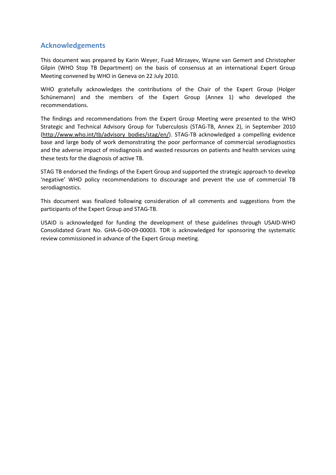# Acknowledgements

This document was prepared by Karin Weyer, Fuad Mirzayev, Wayne van Gemert and Christopher Gilpin (WHO Stop TB Department) on the basis of consensus at an international Expert Group Meeting convened by WHO in Geneva on 22 July 2010.

WHO gratefully acknowledges the contributions of the Chair of the Expert Group (Holger Schünemann) and the members of the Expert Group (Annex 1) who developed the recommendations.

The findings and recommendations from the Expert Group Meeting were presented to the WHO Strategic and Technical Advisory Group for Tuberculosis (STAG-TB, Annex 2), in September 2010 (http://www.who.int/tb/advisory\_bodies/stag/en/). STAG-TB acknowledged a compelling evidence base and large body of work demonstrating the poor performance of commercial serodiagnostics and the adverse impact of misdiagnosis and wasted resources on patients and health services using these tests for the diagnosis of active TB.

STAG TB endorsed the findings of the Expert Group and supported the strategic approach to develop 'negative' WHO policy recommendations to discourage and prevent the use of commercial TB serodiagnostics.

This document was finalized following consideration of all comments and suggestions from the participants of the Expert Group and STAG-TB.

USAID is acknowledged for funding the development of these guidelines through USAID-WHO Consolidated Grant No. GHA-G-00-09-00003. TDR is acknowledged for sponsoring the systematic review commissioned in advance of the Expert Group meeting.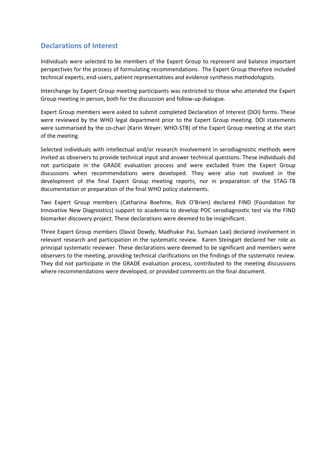# Declarations of Interest

Individuals were selected to be members of the Expert Group to represent and balance important perspectives for the process of formulating recommendations. The Expert Group therefore included technical experts, end-users, patient representatives and evidence synthesis methodologists.

Interchange by Expert Group meeting participants was restricted to those who attended the Expert Group meeting in person, both for the discussion and follow-up dialogue.

Expert Group members were asked to submit completed Declaration of Interest (DOI) forms. These were reviewed by the WHO legal department prior to the Expert Group meeting. DOI statements were summarised by the co-chair (Karin Weyer, WHO-STB) of the Expert Group meeting at the start of the meeting.

Selected individuals with intellectual and/or research involvement in serodiagnostic methods were invited as observers to provide technical input and answer technical questions. These individuals did not participate in the GRADE evaluation process and were excluded from the Expert Group discussions when recommendations were developed. They were also not involved in the development of the final Expert Group meeting reports, nor in preparation of the STAG-TB documentation or preparation of the final WHO policy statements.

Two Expert Group members (Catharina Boehme, Rick O'Brien) declared FIND (Foundation for Innovative New Diagnostics) support to academia to develop POC serodiagnostic test via the FIND biomarker discovery project. These declarations were deemed to be insignificant.

Three Expert Group members (David Dowdy, Madhukar Pai, Sumaan Laal) declared involvement in relevant research and participation in the systematic review. Karen Steingart declared her role as principal systematic reviewer. These declarations were deemed to be significant and members were observers to the meeting, providing technical clarifications on the findings of the systematic review. They did not participate in the GRADE evaluation process, contributed to the meeting discussions where recommendations were developed, or provided comments on the final document.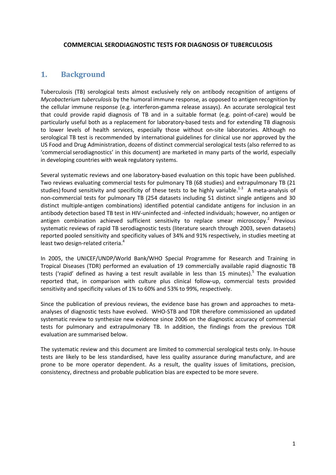## COMMERCIAL SERODIAGNOSTIC TESTS FOR DIAGNOSIS OF TUBERCULOSIS

# 1. Background

Tuberculosis (TB) serological tests almost exclusively rely on antibody recognition of antigens of Mycobacterium tuberculosis by the humoral immune response, as opposed to antigen recognition by the cellular immune response (e.g. interferon-gamma release assays). An accurate serological test that could provide rapid diagnosis of TB and in a suitable format (e.g. point-of-care) would be particularly useful both as a replacement for laboratory-based tests and for extending TB diagnosis to lower levels of health services, especially those without on-site laboratories. Although no serological TB test is recommended by international guidelines for clinical use nor approved by the US Food and Drug Administration, dozens of distinct commercial serological tests (also referred to as 'commercial serodiagnostics' in this document) are marketed in many parts of the world, especially in developing countries with weak regulatory systems.

Several systematic reviews and one laboratory-based evaluation on this topic have been published. Two reviews evaluating commercial tests for pulmonary TB (68 studies) and extrapulmonary TB (21 studies) found sensitivity and specificity of these tests to be highly variable.<sup>1-3</sup> A meta-analysis of non-commercial tests for pulmonary TB (254 datasets including 51 distinct single antigens and 30 distinct multiple-antigen combinations) identified potential candidate antigens for inclusion in an antibody detection based TB test in HIV-uninfected and -infected individuals; however, no antigen or antigen combination achieved sufficient sensitivity to replace smear microscopy.<sup>2</sup> Previous systematic reviews of rapid TB serodiagnostic tests (literature search through 2003, seven datasets) reported pooled sensitivity and specificity values of 34% and 91% respectively, in studies meeting at least two design-related criteria.<sup>4</sup>

In 2005, the UNICEF/UNDP/World Bank/WHO Special Programme for Research and Training in Tropical Diseases (TDR) performed an evaluation of 19 commercially available rapid diagnostic TB tests ('rapid' defined as having a test result available in less than 15 minutes).<sup>5</sup> The evaluation reported that, in comparison with culture plus clinical follow-up, commercial tests provided sensitivity and specificity values of 1% to 60% and 53% to 99%, respectively.

Since the publication of previous reviews, the evidence base has grown and approaches to metaanalyses of diagnostic tests have evolved. WHO-STB and TDR therefore commissioned an updated systematic review to synthesize new evidence since 2006 on the diagnostic accuracy of commercial tests for pulmonary and extrapulmonary TB. In addition, the findings from the previous TDR evaluation are summarised below.

The systematic review and this document are limited to commercial serological tests only. In-house tests are likely to be less standardised, have less quality assurance during manufacture, and are prone to be more operator dependent. As a result, the quality issues of limitations, precision, consistency, directness and probable publication bias are expected to be more severe.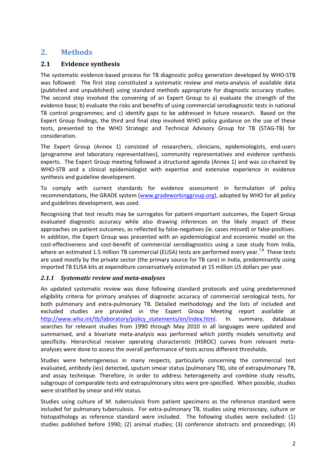# 2. Methods

# 2.1 Evidence synthesis

The systematic evidence-based process for TB diagnostic policy generation developed by WHO-STB was followed: The first step constituted a systematic review and meta-analysis of available data (published and unpublished) using standard methods appropriate for diagnostic accuracy studies. The second step involved the convening of an Expert Group to a) evaluate the strength of the evidence base; b) evaluate the risks and benefits of using commercial serodiagnostic tests in national TB control programmes; and c) identify gaps to be addressed in future research. Based on the Expert Group findings, the third and final step involved WHO policy guidance on the use of these tests, presented to the WHO Strategic and Technical Advisory Group for TB (STAG-TB) for consideration.

The Expert Group (Annex 1) consisted of researchers, clinicians, epidemiologists, end-users (programme and laboratory representatives), community representatives and evidence synthesis experts. The Expert Group meeting followed a structured agenda (Annex 1) and was co-chaired by WHO-STB and a clinical epidemiologist with expertise and extensive experience in evidence synthesis and guideline development.

To comply with current standards for evidence assessment in formulation of policy recommendations, the GRADE system (www.gradeworkinggroup.org), adopted by WHO for all policy and guidelines development, was used.

Recognising that test results may be surrogates for patient-important outcomes, the Expert Group evaluated diagnostic accuracy while also drawing inferences on the likely impact of these approaches on patient outcomes, as reflected by false-negatives (ie. cases missed) or false-positives. In addition, the Expert Group was presented with an epidemiological and economic model on the cost-effectiveness and cost-benefit of commercial serodiagnostics using a case study from India, where an estimated 1.5 million TB commercial (ELISA) tests are performed every year.<sup>7,8</sup> These tests are used mostly by the private sector (the primary source for TB care) in India, predominantly using imported TB ELISA kits at expenditure conservatively estimated at 15 million US dollars per year.

# 2.1.1 Systematic review and meta-analyses

An updated systematic review was done following standard protocols and using predetermined eligibility criteria for primary analyses of diagnostic accuracy of commercial serological tests, for both pulmonary and extra-pulmonary TB. Detailed methodology and the lists of included and excluded studies are provided in the Expert Group Meeting report available at http://www.who.int/tb/laboratory/policy\_statements/en/index.html. In summary, database searches for relevant studies from 1990 through May 2010 in all languages were updated and summarised, and a bivariate meta-analysis was performed which jointly models sensitivity and specificity. Hierarchical receiver operating characteristic (HSROC) curves from relevant metaanalyses were done to assess the overall performance of tests across different thresholds.

Studies were heterogeneous in many respects, particularly concerning the commercial test evaluated, antibody (ies) detected, sputum smear status (pulmonary TB), site of extrapulmonary TB, and assay technique. Therefore, in order to address heterogeneity and combine study results, subgroups of comparable tests and extrapulmonary sites were pre-specified. When possible, studies were stratified by smear and HIV status.

Studies using culture of *M. tuberculosis* from patient specimens as the reference standard were included for pulmonary tuberculosis. For extra-pulmonary TB, studies using microscopy, culture or histopathology as reference standard were included. The following studies were excluded: (1) studies published before 1990; (2) animal studies; (3) conference abstracts and proceedings; (4)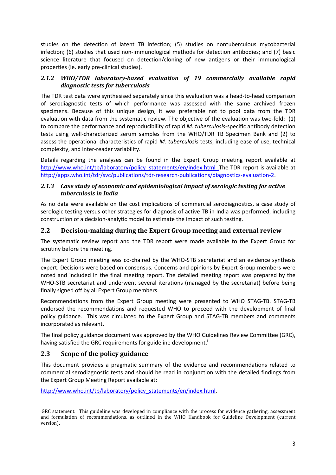studies on the detection of latent TB infection; (5) studies on nontuberculous mycobacterial infection; (6) studies that used non-immunological methods for detection antibodies; and (7) basic science literature that focused on detection/cloning of new antigens or their immunological properties (ie. early pre-clinical studies).

# 2.1.2 WHO/TDR laboratory-based evaluation of 19 commercially available rapid diagnostic tests for tuberculosis

The TDR test data were synthesised separately since this evaluation was a head-to-head comparison of serodiagnostic tests of which performance was assessed with the same archived frozen specimens. Because of this unique design, it was preferable not to pool data from the TDR evaluation with data from the systematic review. The objective of the evaluation was two-fold: (1) to compare the performance and reproducibility of rapid M. tuberculosis-specific antibody detection tests using well-characterized serum samples from the WHO/TDR TB Specimen Bank and (2) to assess the operational characteristics of rapid M. tuberculosis tests, including ease of use, technical complexity, and inter-reader variability.

Details regarding the analyses can be found in the Expert Group meeting report available at http://www.who.int/tb/laboratory/policy\_statements/en/index.html .The TDR report is available at http://apps.who.int/tdr/svc/publications/tdr-research-publications/diagnostics-evaluation-2.

# 2.1.3 Case study of economic and epidemiological impact of serologic testing for active tuberculosis in India

As no data were available on the cost implications of commercial serodiagnostics, a case study of serologic testing versus other strategies for diagnosis of active TB in India was performed, including construction of a decision-analytic model to estimate the impact of such testing.

# 2.2 Decision-making during the Expert Group meeting and external review

The systematic review report and the TDR report were made available to the Expert Group for scrutiny before the meeting.

The Expert Group meeting was co-chaired by the WHO-STB secretariat and an evidence synthesis expert. Decisions were based on consensus. Concerns and opinions by Expert Group members were noted and included in the final meeting report. The detailed meeting report was prepared by the WHO-STB secretariat and underwent several iterations (managed by the secretariat) before being finally signed off by all Expert Group members.

Recommendations from the Expert Group meeting were presented to WHO STAG-TB. STAG-TB endorsed the recommendations and requested WHO to proceed with the development of final policy guidance. This was circulated to the Expert Group and STAG-TB members and comments incorporated as relevant.

The final policy guidance document was approved by the WHO Guidelines Review Committee (GRC), having satisfied the GRC requirements for guideline development.<sup>1</sup>

# 2.3 Scope of the policy guidance

This document provides a pragmatic summary of the evidence and recommendations related to commercial serodiagnostic tests and should be read in conjunction with the detailed findings from the Expert Group Meeting Report available at:

http://www.who.int/tb/laboratory/policy\_statements/en/index.html.

 $\overline{a}$ <sup>i</sup>GRC statement: This guideline was developed in compliance with the process for evidence gathering, assessment and formulation of recommendations, as outlined in the WHO Handbook for Guideline Development (current version).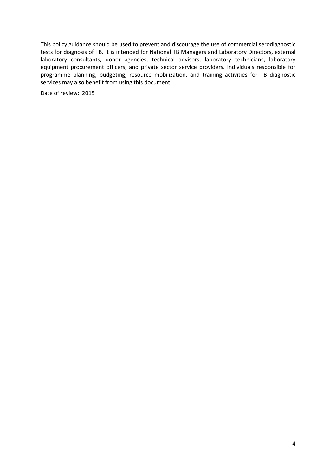This policy guidance should be used to prevent and discourage the use of commercial serodiagnostic tests for diagnosis of TB. It is intended for National TB Managers and Laboratory Directors, external laboratory consultants, donor agencies, technical advisors, laboratory technicians, laboratory equipment procurement officers, and private sector service providers. Individuals responsible for programme planning, budgeting, resource mobilization, and training activities for TB diagnostic services may also benefit from using this document.

Date of review: 2015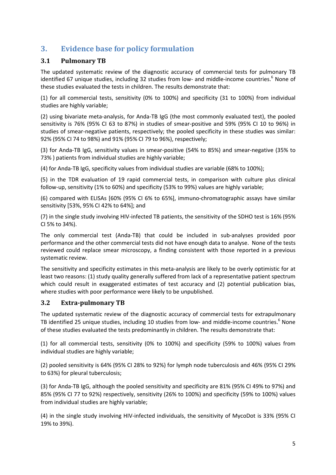# 3. Evidence base for policy formulation

# 3.1 Pulmonary TB

The updated systematic review of the diagnostic accuracy of commercial tests for pulmonary TB identified 67 unique studies, including 32 studies from low- and middle-income countries.<sup>6</sup> None of these studies evaluated the tests in children. The results demonstrate that:

(1) for all commercial tests, sensitivity (0% to 100%) and specificity (31 to 100%) from individual studies are highly variable;

(2) using bivariate meta-analysis, for Anda-TB IgG (the most commonly evaluated test), the pooled sensitivity is 76% (95% CI 63 to 87%) in studies of smear-positive and 59% (95% CI 10 to 96%) in studies of smear-negative patients, respectively; the pooled specificity in these studies was similar: 92% (95% CI 74 to 98%) and 91% (95% CI 79 to 96%), respectively;

(3) for Anda-TB IgG, sensitivity values in smear-positive (54% to 85%) and smear-negative (35% to 73% ) patients from individual studies are highly variable;

(4) for Anda-TB IgG, specificity values from individual studies are variable (68% to 100%);

(5) in the TDR evaluation of 19 rapid commercial tests, in comparison with culture plus clinical follow-up, sensitivity (1% to 60%) and specificity (53% to 99%) values are highly variable;

(6) compared with ELISAs [60% (95% CI 6% to 65%], immuno-chromatographic assays have similar sensitivity [53%, 95% CI 42% to 64%]; and

(7) in the single study involving HIV-infected TB patients, the sensitivity of the SDHO test is 16% (95% CI 5% to 34%).

The only commercial test (Anda-TB) that could be included in sub-analyses provided poor performance and the other commercial tests did not have enough data to analyse. None of the tests reviewed could replace smear microscopy, a finding consistent with those reported in a previous systematic review.

The sensitivity and specificity estimates in this meta-analysis are likely to be overly optimistic for at least two reasons: (1) study quality generally suffered from lack of a representative patient spectrum which could result in exaggerated estimates of test accuracy and (2) potential publication bias, where studies with poor performance were likely to be unpublished.

# 3.2 Extra-pulmonary TB

The updated systematic review of the diagnostic accuracy of commercial tests for extrapulmonary TB identified 25 unique studies, including 10 studies from low- and middle-income countries.<sup>6</sup> None of these studies evaluated the tests predominantly in children. The results demonstrate that:

(1) for all commercial tests, sensitivity (0% to 100%) and specificity (59% to 100%) values from individual studies are highly variable;

(2) pooled sensitivity is 64% (95% CI 28% to 92%) for lymph node tuberculosis and 46% (95% CI 29% to 63%) for pleural tuberculosis;

(3) for Anda-TB IgG, although the pooled sensitivity and specificity are 81% (95% CI 49% to 97%) and 85% (95% CI 77 to 92%) respectively, sensitivity (26% to 100%) and specificity (59% to 100%) values from individual studies are highly variable;

(4) in the single study involving HIV-infected individuals, the sensitivity of MycoDot is 33% (95% CI 19% to 39%).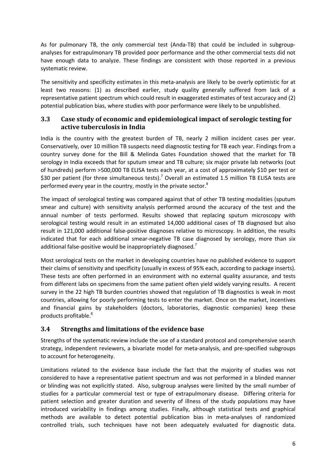As for pulmonary TB, the only commercial test (Anda-TB) that could be included in subgroupanalyses for extrapulmonary TB provided poor performance and the other commercial tests did not have enough data to analyze. These findings are consistent with those reported in a previous systematic review.

The sensitivity and specificity estimates in this meta-analysis are likely to be overly optimistic for at least two reasons: (1) as described earlier, study quality generally suffered from lack of a representative patient spectrum which could result in exaggerated estimates of test accuracy and (2) potential publication bias, where studies with poor performance were likely to be unpublished.

# 3.3 Case study of economic and epidemiological impact of serologic testing for active tuberculosis in India

India is the country with the greatest burden of TB, nearly 2 million incident cases per year. Conservatively, over 10 million TB suspects need diagnostic testing for TB each year. Findings from a country survey done for the Bill & Melinda Gates Foundation showed that the market for TB serology in India exceeds that for sputum smear and TB culture; six major private lab networks (out of hundreds) perform >500,000 TB ELISA tests each year, at a cost of approximately \$10 per test or \$30 per patient (for three simultaneous tests).<sup>7</sup> Overall an estimated 1.5 million TB ELISA tests are performed every year in the country, mostly in the private sector.<sup>8</sup>

The impact of serological testing was compared against that of other TB testing modalities (sputum smear and culture) with sensitivity analysis performed around the accuracy of the test and the annual number of tests performed. Results showed that replacing sputum microscopy with serological testing would result in an estimated 14,000 additional cases of TB diagnosed but also result in 121,000 additional false-positive diagnoses relative to microscopy. In addition, the results indicated that for each additional smear-negative TB case diagnosed by serology, more than six additional false-positive would be inappropriately diagnosed.<sup>7</sup>

Most serological tests on the market in developing countries have no published evidence to support their claims of sensitivity and specificity (usually in excess of 95% each, according to package inserts). These tests are often performed in an environment with no external quality assurance, and tests from different labs on specimens from the same patient often yield widely varying results. A recent survey in the 22 high TB burden countries showed that regulation of TB diagnostics is weak in most countries, allowing for poorly performing tests to enter the market. Once on the market, incentives and financial gains by stakeholders (doctors, laboratories, diagnostic companies) keep these products profitable.<sup>8</sup>

# 3.4 Strengths and limitations of the evidence base

Strengths of the systematic review include the use of a standard protocol and comprehensive search strategy, independent reviewers, a bivariate model for meta-analysis, and pre-specified subgroups to account for heterogeneity.

Limitations related to the evidence base include the fact that the majority of studies was not considered to have a representative patient spectrum and was not performed in a blinded manner or blinding was not explicitly stated. Also, subgroup analyses were limited by the small number of studies for a particular commercial test or type of extrapulmonary disease. Differing criteria for patient selection and greater duration and severity of illness of the study populations may have introduced variability in findings among studies. Finally, although statistical tests and graphical methods are available to detect potential publication bias in meta-analyses of randomized controlled trials, such techniques have not been adequately evaluated for diagnostic data.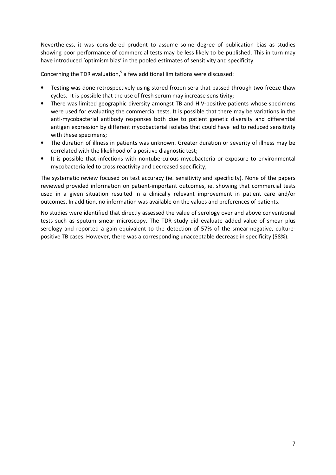Nevertheless, it was considered prudent to assume some degree of publication bias as studies showing poor performance of commercial tests may be less likely to be published. This in turn may have introduced 'optimism bias' in the pooled estimates of sensitivity and specificity.

Concerning the TDR evaluation, $5$  a few additional limitations were discussed:

- Testing was done retrospectively using stored frozen sera that passed through two freeze-thaw cycles. It is possible that the use of fresh serum may increase sensitivity;
- There was limited geographic diversity amongst TB and HIV-positive patients whose specimens were used for evaluating the commercial tests. It is possible that there may be variations in the anti-mycobacterial antibody responses both due to patient genetic diversity and differential antigen expression by different mycobacterial isolates that could have led to reduced sensitivity with these specimens;
- The duration of illness in patients was unknown. Greater duration or severity of illness may be correlated with the likelihood of a positive diagnostic test;
- It is possible that infections with nontuberculous mycobacteria or exposure to environmental mycobacteria led to cross reactivity and decreased specificity;

The systematic review focused on test accuracy (ie. sensitivity and specificity). None of the papers reviewed provided information on patient-important outcomes, ie. showing that commercial tests used in a given situation resulted in a clinically relevant improvement in patient care and/or outcomes. In addition, no information was available on the values and preferences of patients.

No studies were identified that directly assessed the value of serology over and above conventional tests such as sputum smear microscopy. The TDR study did evaluate added value of smear plus serology and reported a gain equivalent to the detection of 57% of the smear-negative, culturepositive TB cases. However, there was a corresponding unacceptable decrease in specificity (58%).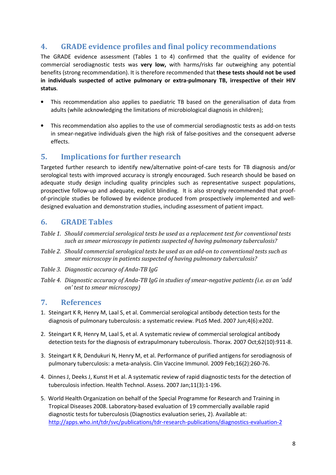# 4. GRADE evidence profiles and final policy recommendations

The GRADE evidence assessment (Tables 1 to 4) confirmed that the quality of evidence for commercial serodiagnostic tests was very low, with harms/risks far outweighing any potential benefits (strong recommendation). It is therefore recommended that these tests should not be used in individuals suspected of active pulmonary or extra-pulmonary TB, irrespective of their HIV status.

- This recommendation also applies to paediatric TB based on the generalisation of data from adults (while acknowledging the limitations of microbiological diagnosis in children);
- This recommendation also applies to the use of commercial serodiagnostic tests as add-on tests in smear-negative individuals given the high risk of false-positives and the consequent adverse effects.

# 5. Implications for further research

Targeted further research to identify new/alternative point-of-care tests for TB diagnosis and/or serological tests with improved accuracy is strongly encouraged. Such research should be based on adequate study design including quality principles such as representative suspect populations, prospective follow-up and adequate, explicit blinding. It is also strongly recommended that proofof-principle studies be followed by evidence produced from prospectively implemented and welldesigned evaluation and demonstration studies, including assessment of patient impact.

# 6. GRADE Tables

- Table 1. Should commercial serological tests be used as a replacement test for conventional tests such as smear microscopy in patients suspected of having pulmonary tuberculosis?
- Table 2. Should commercial serological tests be used as an add-on to conventional tests such as smear microscopy in patients suspected of having pulmonary tuberculosis?
- Table 3. Diagnostic accuracy of Anda-TB IgG
- Table 4. Diagnostic accuracy of Anda-TB IgG in studies of smear-negative patients (i.e. as an 'add on' test to smear microscopy)

# 7. References

- 1. Steingart K R, Henry M, Laal S, et al. Commercial serological antibody detection tests for the diagnosis of pulmonary tuberculosis: a systematic review. PLoS Med. 2007 Jun;4(6):e202.
- 2. Steingart K R, Henry M, Laal S, et al. A systematic review of commercial serological antibody detection tests for the diagnosis of extrapulmonary tuberculosis. Thorax. 2007 Oct;62(10):911-8.
- 3. Steingart K R, Dendukuri N, Henry M, et al. Performance of purified antigens for serodiagnosis of pulmonary tuberculosis: a meta-analysis. Clin Vaccine Immunol. 2009 Feb;16(2):260-76.
- 4. Dinnes J, Deeks J, Kunst H et al. A systematic review of rapid diagnostic tests for the detection of tuberculosis infection. Health Technol. Assess. 2007 Jan;11(3):1-196.
- 5. World Health Organization on behalf of the Special Programme for Research and Training in Tropical Diseases 2008. Laboratory-based evaluation of 19 commercially available rapid diagnostic tests for tuberculosis (Diagnostics evaluation series, 2). Available at: http://apps.who.int/tdr/svc/publications/tdr-research-publications/diagnostics-evaluation-2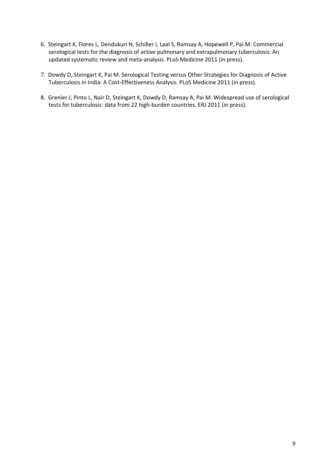- 6. Steingart K, Flores L, Dendukuri N, Schiller I, Laal S, Ramsay A, Hopewell P, Pai M. Commercial serological tests for the diagnosis of active pulmonary and extrapulmonary tuberculosis: An updated systematic review and meta-analysis. PLoS Medicine 2011 (in press).
- 7. Dowdy D, Steingart K, Pai M. Serological Testing versus Other Strategies for Diagnosis of Active Tuberculosis in India: A Cost-Effectiveness Analysis. PLoS Medicine 2011 (in press).
- 8. Grenier J, Pinto L, Nair D, Steingart K, Dowdy D, Ramsay A, Pai M. Widespread use of serological tests for tuberculosis: data from 22 high-burden countries. ERJ 2011 (in press).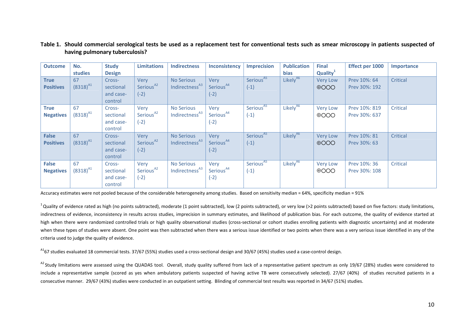| <b>Outcome</b>                   | No.                 | <b>Study</b>                                | <b>Limitations</b>                             | <b>Indirectness</b>                             | <b>Inconsistency</b>                    | <b>Imprecision</b>              | <b>Publication</b>   | <b>Final</b>                    | <b>Effect per 1000</b>         | Importance      |
|----------------------------------|---------------------|---------------------------------------------|------------------------------------------------|-------------------------------------------------|-----------------------------------------|---------------------------------|----------------------|---------------------------------|--------------------------------|-----------------|
|                                  | studies             | <b>Design</b>                               |                                                |                                                 |                                         |                                 | <b>bias</b>          | Quality <sup>1</sup>            |                                |                 |
| <b>True</b>                      | 67<br>$(8318)^{A1}$ | Cross-                                      | Very<br>Serious <sup>A2</sup>                  | <b>No Serious</b><br>Indirectness <sup>A3</sup> | <b>Verv</b><br>Serious <sup>A4</sup>    | Serious <sup>A5</sup>           | Likely <sup>A6</sup> | <b>Very Low</b>                 | Prev 10%: 64                   | Critical        |
| <b>Positives</b>                 |                     | sectional<br>and case-<br>control           | $(-2)$                                         |                                                 | $(-2)$                                  | $(-1)$                          |                      | $\oplus$ OOO                    | Prev 30%: 192                  |                 |
| <b>True</b><br><b>Negatives</b>  | 67<br>$(8318)^{A1}$ | Cross-<br>sectional<br>and case-<br>control | Very<br>Serious <sup>A2</sup><br>$(-2)$        | <b>No Serious</b><br>Indirectness <sup>A3</sup> | Very<br>Serious <sup>A4</sup><br>$(-2)$ | Serious <sup>A5</sup><br>$(-1)$ | Likely <sup>A6</sup> | <b>Very Low</b><br>$\oplus$ OOO | Prev 10%: 819<br>Prev 30%: 637 | Critical        |
| <b>False</b><br><b>Positives</b> | 67<br>$(8318)^{A1}$ | Cross-<br>sectional<br>and case-<br>control | <b>Verv</b><br>Serious <sup>A2</sup><br>$(-2)$ | <b>No Serious</b><br>Indirectness <sup>A3</sup> | Very<br>Serious <sup>A4</sup><br>$(-2)$ | Serious <sup>A5</sup><br>$(-1)$ | Likely <sup>A6</sup> | <b>Very Low</b><br>$\oplus$ OOO | Prev 10%: 81<br>Prev 30%: 63   | <b>Critical</b> |
| <b>False</b><br><b>Negatives</b> | 67<br>$(8318)^{A1}$ | Cross-<br>sectional<br>and case-<br>control | Very<br>Serious <sup>A2</sup><br>$(-2)$        | No Serious<br>Indirectness <sup>A3</sup>        | Very<br>Serious <sup>A4</sup><br>$(-2)$ | Serious <sup>A5</sup><br>$(-1)$ | Likely <sup>A6</sup> | <b>Very Low</b><br>$\oplus$ OOO | Prev 10%: 36<br>Prev 30%: 108  | Critical        |

# Table 1. Should commercial serological tests be used as a replacement test for conventional tests such as smear microscopy in patients suspected of having pulmonary tuberculosis?

Accuracy estimates were not pooled because of the considerable heterogeneity among studies. Based on sensitivity median = 64%, specificity median = 91%

 $1$ Quality of evidence rated as high (no points subtracted), moderate (1 point subtracted), low (2 points subtracted), or very low (>2 points subtracted) based on five factors: study limitations, indirectness of evidence, inconsistency in results across studies, imprecision in summary estimates, and likelihood of publication bias. For each outcome, the quality of evidence started at high when there were randomized controlled trials or high quality observational studies (cross-sectional or cohort studies enrolling patients with diagnostic uncertainty) and at moderate when these types of studies were absent. One point was then subtracted when there was a serious issue identified or two points when there was a very serious issue identified in any of the criteria used to judge the quality of evidence.

<sup>A1</sup>67 studies evaluated 18 commercial tests. 37/67 (55%) studies used a cross-sectional design and 30/67 (45%) studies used a case-control design.

<sup>A2</sup> Study limitations were assessed using the QUADAS tool. Overall, study quality suffered from lack of a representative patient spectrum as only 19/67 (28%) studies were considered to include a representative sample (scored as yes when ambulatory patients suspected of having active TB were consecutively selected). 27/67 (40%) of studies recruited patients in a consecutive manner. 29/67 (43%) studies were conducted in an outpatient setting. Blinding of commercial test results was reported in 34/67 (51%) studies.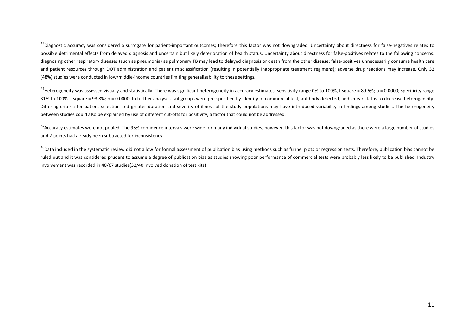<sup>A3</sup>Diagnostic accuracy was considered a surrogate for patient-important outcomes; therefore this factor was not downgraded. Uncertainty about directness for false-negatives relates to possible detrimental effects from delayed diagnosis and uncertain but likely deterioration of health status. Uncertainty about directness for false-positives relates to the following concerns: diagnosing other respiratory diseases (such as pneumonia) as pulmonary TB may lead to delayed diagnosis or death from the other disease; false-positives unnecessarily consume health care and patient resources through DOT administration and patient misclassification (resulting in potentially inappropriate treatment regimens); adverse drug reactions may increase. Only 32 (48%) studies were conducted in low/middle-income countries limiting generalisability to these settings.

<sup>A4</sup>Heterogeneity was assessed visually and statistically. There was significant heterogeneity in accuracy estimates: sensitivity range 0% to 100%, I-square = 89.6%; p = 0.0000; specificity range 31% to 100%, I-square = 93.8%; p = 0.0000. In further analyses, subgroups were pre-specified by identity of commercial test, antibody detected, and smear status to decrease heterogeneity. Differing criteria for patient selection and greater duration and severity of illness of the study populations may have introduced variability in findings among studies. The heterogeneity between studies could also be explained by use of different cut-offs for positivity, a factor that could not be addressed.

<sup>A5</sup>Accuracy estimates were not pooled. The 95% confidence intervals were wide for many individual studies; however, this factor was not downgraded as there were a large number of studies and 2 points had already been subtracted for inconsistency.

<sup>A6</sup>Data included in the systematic review did not allow for formal assessment of publication bias using methods such as funnel plots or regression tests. Therefore, publication bias cannot be ruled out and it was considered prudent to assume a degree of publication bias as studies showing poor performance of commercial tests were probably less likely to be published. Industry involvement was recorded in 40/67 studies(32/40 involved donation of test kits)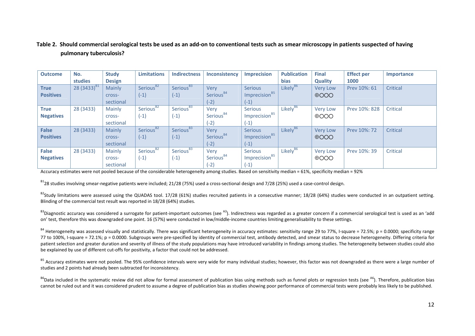# Table 2. Should commercial serological tests be used as an add-on to conventional tests such as smear microscopy in patients suspected of having pulmonary tuberculosis?

| <b>Outcome</b>   | No.              | <b>Study</b>  | <b>Limitations</b>    | <b>Indirectness</b>   | Inconsistency         | <b>Imprecision</b>        | <b>Publication</b>   | <b>Final</b>    | <b>Effect per</b> | Importance |
|------------------|------------------|---------------|-----------------------|-----------------------|-----------------------|---------------------------|----------------------|-----------------|-------------------|------------|
|                  | studies          | <b>Design</b> |                       |                       |                       |                           | <b>bias</b>          | <b>Quality</b>  | 1000              |            |
| <b>True</b>      | 28 $(3433)^{B1}$ | Mainly        | Serious <sup>B2</sup> | Serious <sup>B3</sup> | Very                  | <b>Serious</b>            | Likely <sup>86</sup> | <b>Very Low</b> | Prev 10%: 61      | Critical   |
| <b>Positives</b> |                  | cross-        | $(-1)$                | $(-1)$                | Serious <sup>B4</sup> | Imprecision <sup>B5</sup> |                      | $\oplus$ OOO    |                   |            |
|                  |                  | sectional     |                       |                       | $(-2)$                | $(-1)$                    |                      |                 |                   |            |
| <b>True</b>      | 28 (3433)        | Mainly        | Serious <sup>B2</sup> | Serious <sup>B3</sup> | Very                  | <b>Serious</b>            | Likely <sup>B6</sup> | <b>Very Low</b> | Prev 10%: 828     | Critical   |
| <b>Negatives</b> |                  | Cross-        | $(-1)$                | $(-1)$                | Serious <sup>B4</sup> | Imprecision <sup>B5</sup> |                      | $\oplus$ OOO    |                   |            |
|                  |                  | sectional     |                       |                       | $(-2)$                | (-1)                      |                      |                 |                   |            |
| <b>False</b>     | 28 (3433)        | Mainly        | Serious <sup>B2</sup> | Serious <sup>B3</sup> | <b>Verv</b>           | <b>Serious</b>            | Likely <sup>86</sup> | <b>Very Low</b> | Prev 10%: 72      | Critical   |
| <b>Positives</b> |                  | cross-        | $(-1)$                | $(-1)$                | Serious <sup>B4</sup> | Imprecision <sup>B5</sup> |                      | $\oplus$ OOO    |                   |            |
|                  |                  | sectional     |                       |                       | $(-2)$                | $(-1)$                    |                      |                 |                   |            |
| <b>False</b>     | 28 (3433)        | Mainly        | Serious <sup>B2</sup> | Serious <sup>B3</sup> | Very                  | <b>Serious</b>            | Likely <sup>B6</sup> | <b>Very Low</b> | Prev 10%: 39      | Critical   |
| <b>Negatives</b> |                  | Cross-        | $(-1)$                | $(-1)$                | Serious <sup>B4</sup> | Imprecision <sup>B5</sup> |                      | $\oplus$ OOO    |                   |            |
|                  |                  | sectional     |                       |                       | $(-2)$                | $(-1)$                    |                      |                 |                   |            |

Accuracy estimates were not pooled because of the considerable heterogeneity among studies. Based on sensitivity median = 61%, specificity median = 92%

 $B128$  studies involving smear-negative patients were included; 21/28 (75%) used a cross-sectional design and 7/28 (25%) used a case-control design.

B<sup>2</sup>Study limitations were assessed using the QUADAS tool. 17/28 (61%) studies recruited patients in a consecutive manner; 18/28 (64%) studies were conducted in an outpatient setting. Blinding of the commercial test result was reported in 18/28 (64%) studies.

 $B^3$ Diagnostic accuracy was considered a surrogate for patient-important outcomes (see  $A^3$ ). Indirectness was regarded as a greater concern if a commercial serological test is used as an 'add on' test, therefore this was downgraded one point. 16 (57%) were conducted in low/middle-income countries limiting generalisability to these settings.

 $B^4$  Heterogeneity was assessed visually and statistically. There was significant heterogeneity in accuracy estimates: sensitivity range 29 to 77%. I-square = 72.5%; p = 0.0000; specificity range 77 to 100%, I-square = 72.1%; p = 0.0000. Subgroups were pre-specified by identity of commercial test, antibody detected, and smear status to decrease heterogeneity. Differing criteria for patient selection and greater duration and severity of illness of the study populations may have introduced variability in findings among studies. The heterogeneity between studies could also be explained by use of different cut-offs for positivity, a factor that could not be addressed.

<sup>B5</sup> Accuracy estimates were not pooled. The 95% confidence intervals were very wide for many individual studies; however, this factor was not downgraded as there were a large number of studies and 2 points had already been subtracted for inconsistency.

<sup>B6</sup>Data included in the systematic review did not allow for formal assessment of publication bias using methods such as funnel plots or regression tests (see <sup>A6</sup>). Therefore, publication bias cannot be ruled out and it was considered prudent to assume a degree of publication bias as studies showing poor performance of commercial tests were probably less likely to be published.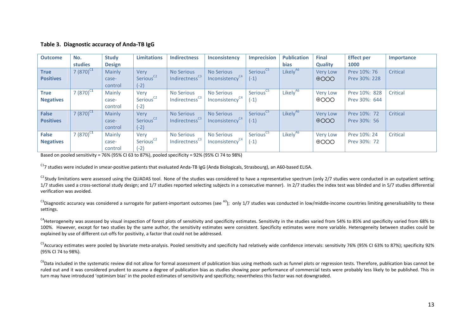## Table 3. Diagnostic accuracy of Anda-TB IgG

| <b>Outcome</b>   | No.            | <b>Study</b>  | <b>Limitations</b>    | <b>Indirectness</b>        | Inconsistency               | <b>Imprecision</b>    | <b>Publication</b>   | <b>Final</b>    | <b>Effect per</b> | Importance |
|------------------|----------------|---------------|-----------------------|----------------------------|-----------------------------|-----------------------|----------------------|-----------------|-------------------|------------|
|                  | studies        | <b>Design</b> |                       |                            |                             |                       | <b>bias</b>          | <b>Quality</b>  | 1000              |            |
| <b>True</b>      | 7 $(870)^{C1}$ | Mainly        | Very                  | <b>No Serious</b>          | <b>No Serious</b>           | Serious <sup>C5</sup> | Likely <sup>A6</sup> | <b>Very Low</b> | Prev 10%: 76      | Critical   |
| <b>Positives</b> |                | case-         | Serious <sup>C2</sup> | Indirectness <sup>C3</sup> | Inconsistency <sup>C4</sup> | $(-1)$                |                      | $\oplus$ OOO    | Prev 30%: 228     |            |
|                  |                | control       | $(-2)$                |                            |                             |                       |                      |                 |                   |            |
| <b>True</b>      | 7 $(870)^{C1}$ | Mainly        | Very                  | <b>No Serious</b>          | <b>No Serious</b>           | Serious <sup>C5</sup> | Likely <sup>A6</sup> | <b>Very Low</b> | Prev 10%: 828     | Critical   |
| <b>Negatives</b> |                | case-         | Serious <sup>C2</sup> | Indirectness <sup>C3</sup> | Inconsistency <sup>C4</sup> | $(-1)$                |                      | $\oplus$ OOO    | Prev 30%: 644     |            |
|                  |                | control       | $(-2)$                |                            |                             |                       |                      |                 |                   |            |
| <b>False</b>     | 7 $(870)^{C1}$ | Mainly        | <b>Verv</b>           | <b>No Serious</b>          | <b>No Serious</b>           | Serious <sup>C5</sup> | Likely <sup>A6</sup> | <b>Very Low</b> | Prev 10%: 72      | Critical   |
| <b>Positives</b> |                | case-         | Serious <sup>C2</sup> | Indirectness <sup>C3</sup> | Inconsistency <sup>C4</sup> | $(-1)$                |                      | $\oplus$ OOO    | Prev 30%: 56      |            |
|                  |                | control       | $(-2)$                |                            |                             |                       |                      |                 |                   |            |
| <b>False</b>     | 7 $(870)^{C1}$ | Mainly        | Very                  | <b>No Serious</b>          | <b>No Serious</b>           | Serious <sup>C5</sup> | Likely <sup>A6</sup> | <b>Very Low</b> | Prev 10%: 24      | Critical   |
| <b>Negatives</b> |                | case-         | Serious <sup>C2</sup> | Indirectness <sup>C3</sup> | Inconsistency <sup>C4</sup> | $(-1)$                |                      | $\oplus$ OOO    | Prev 30%: 72      |            |
|                  |                | control       | $(-2)$                |                            |                             |                       |                      |                 |                   |            |

Based on pooled sensitivity = 76% (95% CI 63 to 87%), pooled specificity = 92% (95% CI 74 to 98%)

 $^{C1}$ 7 studies were included in smear-positive patients that evaluated Anda-TB IgG (Anda Biologicals, Strasbourg), an A60-based ELISA.

 $^{C2}$  Study limitations were assessed using the QUADAS tool. None of the studies was considered to have a representative spectrum (only 2/7 studies were conducted in an outpatient setting; 1/7 studies used a cross-sectional study design; and 1/7 studies reported selecting subjects in a consecutive manner). In 2/7 studies the index test was blinded and in 5/7 studies differential verification was avoided.

 $^{C3}$ Diagnostic accuracy was considered a surrogate for patient-important outcomes (see  $^{A3}$ ); only 1/7 studies was conducted in low/middle-income countries limiting generalisability to these settings.

<sup>C4</sup>Heterogeneity was assessed by visual inspection of forest plots of sensitivity and specificity estimates. Sensitivity in the studies varied from 54% to 85% and specificity varied from 68% to 100%. However, except for two studies by the same author, the sensitivity estimates were consistent. Specificity estimates were more variable. Heterogeneity between studies could be explained by use of different cut-offs for positivity, a factor that could not be addressed.

<sup>C5</sup>Accuracy estimates were pooled by bivariate meta-analysis. Pooled sensitivity and specificity had relatively wide confidence intervals: sensitivity 76% (95% CI 63% to 87%); specificity 92% (95% CI 74 to 98%).

<sup>C6</sup>Data included in the systematic review did not allow for formal assessment of publication bias using methods such as funnel plots or regression tests. Therefore, publication bias cannot be ruled out and it was considered prudent to assume a degree of publication bias as studies showing poor performance of commercial tests were probably less likely to be published. This in turn may have introduced 'optimism bias' in the pooled estimates of sensitivity and specificity; nevertheless this factor was not downgraded.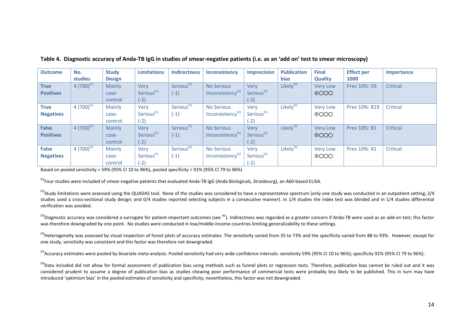| <b>Outcome</b>   | No.            | <b>Study</b>  | <b>Limitations</b>    | <b>Indirectness</b>   | Inconsistency               | <b>Imprecision</b>    | <b>Publication</b>   | <b>Final</b>    | <b>Effect per</b> | Importance |
|------------------|----------------|---------------|-----------------------|-----------------------|-----------------------------|-----------------------|----------------------|-----------------|-------------------|------------|
|                  | studies        | <b>Design</b> |                       |                       |                             |                       | <b>bias</b>          | <b>Quality</b>  | 1000              |            |
| <b>True</b>      | 4 $(700)^{D1}$ | Mainly        | Very                  | Serious <sup>D3</sup> | <b>No Serious</b>           | Very                  | Likely <sup>D6</sup> | <b>Very Low</b> | Prev 10%: 59      | Critical   |
| <b>Positives</b> |                | case-         | Serious <sup>D2</sup> | $(-1)$                | Inconsistency <sup>D4</sup> | Serious <sup>D5</sup> |                      | $\oplus$ OOO    |                   |            |
|                  |                | control       | $(-2)$                |                       |                             | $(-2)$                |                      |                 |                   |            |
| <b>True</b>      | 4 $(700)^{D1}$ | Mainly        | Very                  | Serious <sup>D3</sup> | <b>No Serious</b>           | Very                  | Likely <sup>D6</sup> | <b>Very Low</b> | Prev 10%: 819     | Critical   |
| <b>Negatives</b> |                | case-         | Serious <sup>D2</sup> | $(-1)$                | Inconsistency <sup>D4</sup> | Serious <sup>D5</sup> |                      | $\oplus$ OOO    |                   |            |
|                  |                | control       | $(-2)$                |                       |                             | $(-2)$                |                      |                 |                   |            |
| <b>False</b>     | 4 $(700)^{D1}$ | Mainly        | Very                  | Serious <sup>D3</sup> | <b>No Serious</b>           | <b>Very</b>           | Likely <sup>D6</sup> | <b>Very Low</b> | Prev 10%: 81      | Critical   |
| <b>Positives</b> |                | case-         | Serious <sup>D2</sup> | $(-1)$                | Inconsistency <sup>D4</sup> | Serious <sup>D5</sup> |                      | $\oplus$ OOO    |                   |            |
|                  |                | control       | $(-2)$                |                       |                             | $(-2)$                |                      |                 |                   |            |
| <b>False</b>     | 4 $(700)^{D1}$ | Mainly        | Very                  | Serious <sup>D3</sup> | <b>No Serious</b>           | Very                  | Likely <sup>D6</sup> | <b>Very Low</b> | Prev 10%: 41      | Critical   |
| <b>Negatives</b> |                | case-         | Serious <sup>D2</sup> | $(-1)$                | Inconsistency <sup>D4</sup> | Serious <sup>D5</sup> |                      | $\oplus$ OOO    |                   |            |
|                  |                | control       | $(-2)$                |                       |                             | $(-2)$                |                      |                 |                   |            |

Table 4. Diagnostic accuracy of Anda-TB IgG in studies of smear-negative patients (i.e. as an 'add on' test to smear microscopy)

Based on pooled sensitivity = 59% (95% CI 10 to 96%), pooled specificity = 91% (95% CI 79 to 96%)

<sup>D1</sup>Four studies were included of smear-negative patients that evaluated Anda-TB IgG (Anda Biologicals, Strasbourg), an A60-based ELISA.

<sup>D2</sup>Study limitations were assessed using the QUADAS tool. None of the studies was considered to have a representative spectrum (only one study was conducted in an outpatient setting; 2/4 studies used a cross-sectional study design; and 0/4 studies reported selecting subjects in a consecutive manner). In 1/4 studies the index test was blinded and in 1/4 studies differential verification was avoided.

 $^{D3}$ Diagnostic accuracy was considered a surrogate for patient-important outcomes (see  $^{A3}$ ). Indirectness was regarded as a greater concern if Anda-TB were used as an add-on test; this factor was therefore downgraded by one point. No studies were conducted in low/middle-income countries limiting generalizability to these settings.

<sup>D4</sup>Heterogeneity was assessed by visual inspection of forest plots of accuracy estimates. The sensitivity varied from 35 to 73% and the specificity varied from 88 to 93%. However, except for one study, sensitivity was consistent and this factor was therefore not downgraded.

<sup>D5</sup>Accuracy estimates were pooled by bivariate meta-analysis. Pooled sensitivity had very wide confidence intervals: sensitivity 59% (95% CI 10 to 96%); specificity 91% (95% CI 79 to 96%).

<sup>D6</sup>Data included did not allow for formal assessment of publication bias using methods such as funnel plots or regression tests. Therefore, publication bias cannot be ruled out and it was considered prudent to assume a degree of publication bias as studies showing poor performance of commercial tests were probably less likely to be published. This in turn may have introduced 'optimism bias' in the pooled estimates of sensitivity and specificity; nevertheless, this factor was not downgraded.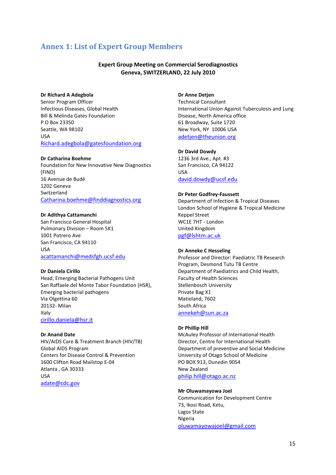# Annex 1: List of Expert Group Members

## Expert Group Meeting on Commercial Serodiagnostics Geneva, SWITZERLAND, 22 July 2010

#### Dr Richard A Adegbola

Senior Program Officer Infectious Diseases, Global Health Bill & Melinda Gates Foundation P O Box 23350 Seattle, WA 98102 USA Richard.adegbola@gatesfoundation.org

#### Dr Catharina Boehme

Foundation for New Innovative New Diagnostics (FIND) 16 Avenue de Budé 1202 Geneva Switzerland Catharina.boehme@finddiagnostics.org

#### Dr Adithya Cattamanchi

San Francisco General Hospital Pulmonary Division – Room 5K1 1001 Potrero Ave San Francisco, CA 94110 USA acattamanchi@medsfgh.ucsf.edu

#### Dr Daniela Cirillo

Head, Emerging Bacterial Pathogens Unit San Raffaele del Monte Tabor Foundation (HSR), Emerging bacterial pathogens Via Olgettina 60 20132- Milan Italy cirillo.daniela@hsr.it

#### Dr Anand Date

HIV/AIDS Care & Treatment Branch (HIV/TB) Global AIDS Program Centers for Disease Control & Prevention 1600 Clifton Road Mailstop E-04 Atlanta , GA 30333 USA adate@cdc.gov

## Dr Anne Detjen

Technical Consultant International Union Against Tuberculosis and Lung Disease, North America office 61 Broadway, Suite 1720 New York, NY 10006 USA adetjen@theunion.org

#### Dr David Dowdy

1236 3rd Ave., Apt. #3 San Francisco, CA 94122 USA david.dowdy@ucsf.edu

#### Dr Peter Godfrey-Faussett

Department of Infection & Tropical Diseases London School of Hygiene & Tropical Medicine Keppel Street WC1E 7HT - London United Kingdom pgf@lshtm.ac.uk

#### Dr Anneke C Hesseling

Professor and Director: Paediatric TB Research Program, Desmond Tutu TB Centre Department of Paediatrics and Child Health, Faculty of Health Sciences Stellenbosch University Private Bag X1 Matieland, 7602 South Africa annekeh@sun.ac.za

#### Dr Phillip Hill

McAuley Professor of International Health Director, Centre for International Health Department of preventive and Social Medicine University of Otago School of Medicine PO BOX 913, Dunedin 9054 New Zealand philip.hill@otago.ac.nz

#### Mr Oluwamayowa Joel

Communication for Development Centre 73, Ikosi Road, Ketu, Lagos State Nigeria oluwamayowajoel@gmail.com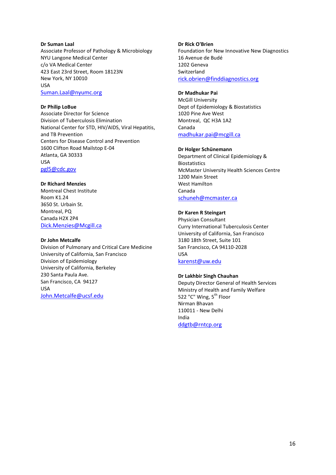#### Dr Suman Laal

Associate Professor of Pathology & Microbiology NYU Langone Medical Center c/o VA Medical Center 423 East 23rd Street, Room 18123N New York, NY 10010 USA

Suman.Laal@nyumc.org

#### Dr Philip LoBue

Associate Director for Science Division of Tuberculosis Elimination National Center for STD, HIV/AIDS, Viral Hepatitis, and TB Prevention Centers for Disease Control and Prevention 1600 Clifton Road Mailstop E-04 Atlanta, GA 30333 USA pgl5@cdc.gov

#### Dr Richard Menzies

Montreal Chest Institute Room K1.24 3650 St. Urbain St. Montreal, PQ Canada H2X 2P4 Dick.Menzies@Mcgill.ca

#### Dr John Metcalfe

Division of Pulmonary and Critical Care Medicine University of California, San Francisco Division of Epidemiology University of California, Berkeley 230 Santa Paula Ave. San Francisco, CA 94127 USA John.Metcalfe@ucsf.edu

#### Dr Rick O'Brien

Foundation for New Innovative New Diagnostics 16 Avenue de Budé 1202 Geneva Switzerland rick.obrien@finddiagnostics.org

#### Dr Madhukar Pai

McGill University Dept of Epidemiology & Biostatistics 1020 Pine Ave West Montreal, QC H3A 1A2 Canada madhukar.pai@mcgill.ca

#### Dr Holger Schünemann

Department of Clinical Epidemiology & Biostatistics McMaster University Health Sciences Centre 1200 Main Street West Hamilton Canada schuneh@mcmaster.ca

#### Dr Karen R Steingart

Physician Consultant Curry International Tuberculosis Center University of California, San Francisco 3180 18th Street, Suite 101 San Francisco, CA 94110-2028 USA

# karenst@uw.edu

## Dr Lakhbir Singh Chauhan

Deputy Director General of Health Services Ministry of Health and Family Welfare 522 "C" Wing, 5<sup>th</sup> Floor Nirman Bhavan 110011 - New Delhi India ddgtb@rntcp.org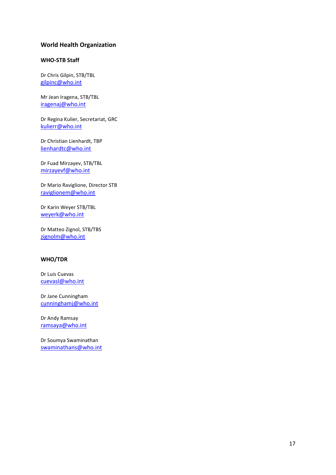## World Health Organization

## WHO-STB Staff

Dr Chris Gilpin, STB/TBL gilpinc@who.int

Mr Jean Iragena, STB/TBL iragenaj@who.int

Dr Regina Kulier, Secretariat, GRC kulierr@who.int

Dr Christian Lienhardt, TBP lienhardtc@who.int

Dr Fuad Mirzayev, STB/TBL mirzayevf@who.int

Dr Mario Raviglione, Director STB raviglionem@who.int

Dr Karin Weyer STB/TBL weyerk@who.int

Dr Matteo Zignol, STB/TBS zignolm@who.int

## WHO/TDR

Dr Luis Cuevas cuevasl@who.int

Dr Jane Cunningham cunninghamj@who.int

Dr Andy Ramsay ramsaya@who.int

Dr Soumya Swaminathan swaminathans@who.int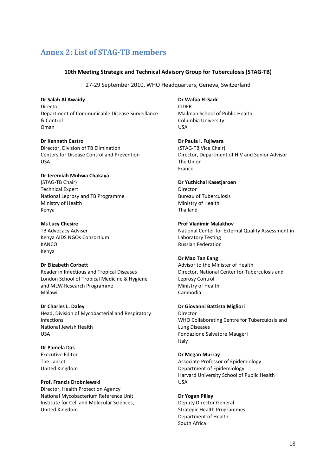# Annex 2: List of STAG-TB members

## 10th Meeting Strategic and Technical Advisory Group for Tuberculosis (STAG-TB)

27-29 September 2010, WHO Headquarters, Geneva, Switzerland

Dr Salah Al Awaidy Director Department of Communicable Disease Surveillance & Control Oman

Dr Kenneth Castro Director, Division of TB Elimination Centers for Disease Control and Prevention USA

## Dr Jeremiah Muhwa Chakaya (STAG-TB Chair) Technical Expert National Leprosy and TB Programme

Ministry of Health Kenya

## Ms Lucy Chesire

TB Advocacy Adviser Kenya AIDS NGOs Consortium **KANCO** Kenya

## Dr Elizabeth Corbett

Reader in Infectious and Tropical Diseases London School of Tropical Medicine & Hygiene and MLW Research Programme Malawi

Dr Charles L. Daley

Head, Division of Mycobacterial and Respiratory Infections National Jewish Health USA

# Dr Pamela Das

Executive Editor The Lancet United Kingdom

## Prof. Francis Drobniewski

Director, Health Protection Agency National Mycobacterium Reference Unit Institute for Cell and Molecular Sciences, United Kingdom

# Dr Wafaa El-Sadr

CIDER Mailman School of Public Health Columbia University USA

Dr Paula I. Fujiwara

(STAG-TB Vice Chair) Director, Department of HIV and Senior Advisor The Union France

## Dr Yuthichai Kasetjaroen

Director Bureau of Tuberculosis Ministry of Health Thailand

## Prof Vladimir Malakhov

National Center for External Quality Assessment in Laboratory Testing Russian Federation

## Dr Mao Tan Eang

Advisor to the Minister of Health Director, National Center for Tuberculosis and Leprosy Control Ministry of Health Cambodia

## Dr Giovanni Battista Migliori

Director WHO Collaborating Centre for Tuberculosis and Lung Diseases Fondazione Salvatore Maugeri Italy

## Dr Megan Murray

Associate Professor of Epidemiology Department of Epidemiology Harvard University School of Public Health USA

# Dr Yogan Pillay

Deputy Director General Strategic Health Programmes Department of Health South Africa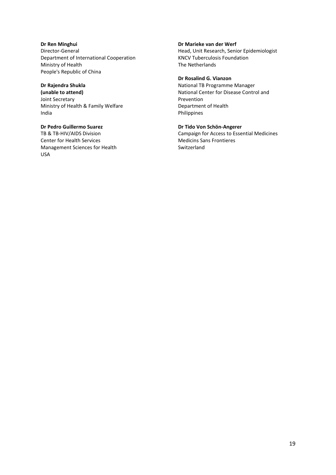Dr Ren Minghui Director-General Department of International Cooperation Ministry of Health People's Republic of China

# Dr Rajendra Shukla

(unable to attend) Joint Secretary Ministry of Health & Family Welfare India

# Dr Pedro Guillermo Suarez

TB & TB-HIV/AIDS Division Center for Health Services Management Sciences for Health USA

#### Dr Marieke van der Werf

Head, Unit Research, Senior Epidemiologist KNCV Tuberculosis Foundation The Netherlands

# Dr Rosalind G. Vianzon

National TB Programme Manager National Center for Disease Control and Prevention Department of Health Philippines

## Dr Tido Von Schön-Angerer

Campaign for Access to Essential Medicines Medicins Sans Frontieres Switzerland